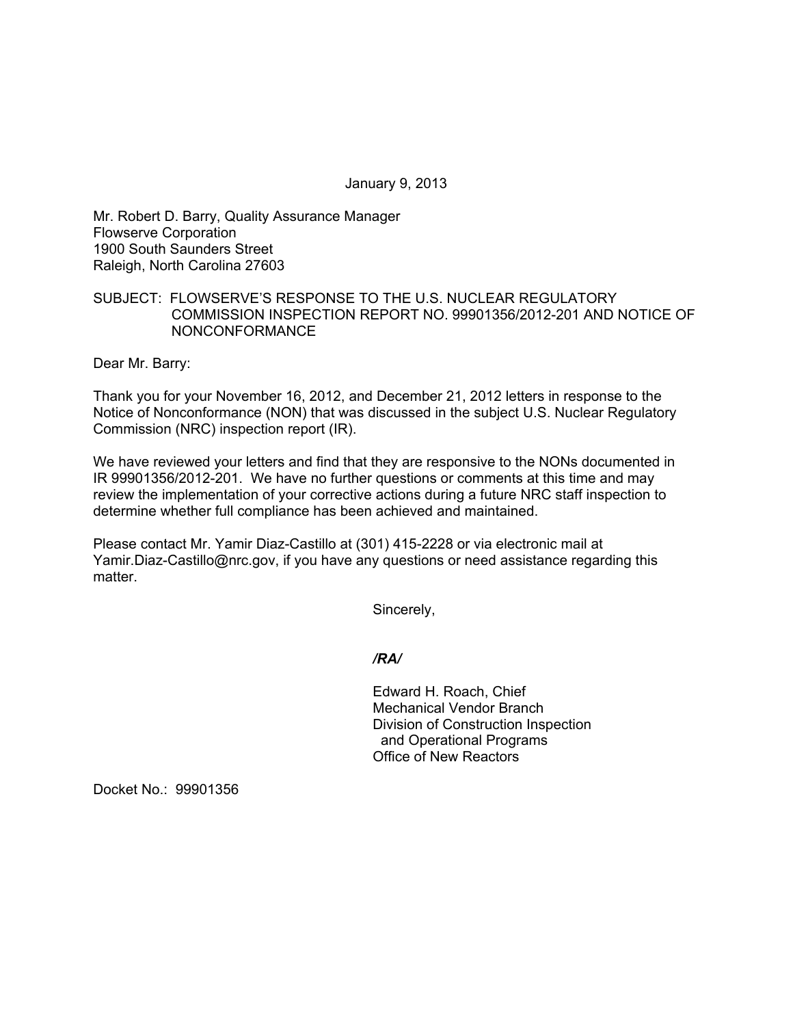January 9, 2013

Mr. Robert D. Barry, Quality Assurance Manager Flowserve Corporation 1900 South Saunders Street Raleigh, North Carolina 27603

## SUBJECT: FLOWSERVE'S RESPONSE TO THE U.S. NUCLEAR REGULATORY COMMISSION INSPECTION REPORT NO. 99901356/2012-201 AND NOTICE OF NONCONFORMANCE

Dear Mr. Barry:

Thank you for your November 16, 2012, and December 21, 2012 letters in response to the Notice of Nonconformance (NON) that was discussed in the subject U.S. Nuclear Regulatory Commission (NRC) inspection report (IR).

We have reviewed your letters and find that they are responsive to the NONs documented in IR 99901356/2012-201. We have no further questions or comments at this time and may review the implementation of your corrective actions during a future NRC staff inspection to determine whether full compliance has been achieved and maintained.

Please contact Mr. Yamir Diaz-Castillo at (301) 415-2228 or via electronic mail at Yamir.Diaz-Castillo@nrc.gov, if you have any questions or need assistance regarding this matter.

Sincerely,

*/RA/* 

Edward H. Roach, Chief Mechanical Vendor Branch Division of Construction Inspection and Operational Programs Office of New Reactors

Docket No.: 99901356